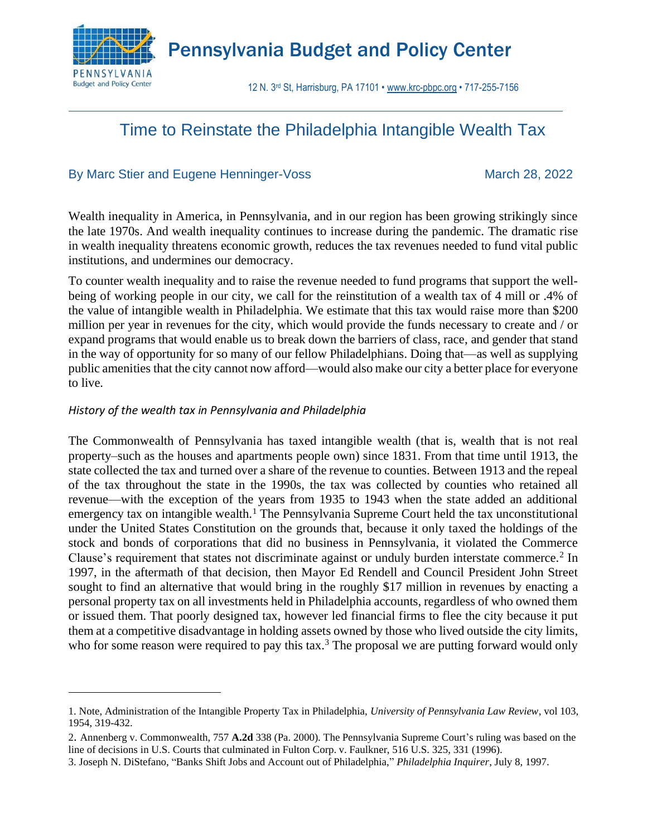

Pennsylvania Budget and Policy Center

12 N. 3rd St, Harrisburg, PA 17101 • [www.krc-pbpc.org](http://www.pennbpc.org/) • 717-255-7156

# Time to Reinstate the Philadelphia Intangible Wealth Tax

# By Marc Stier and Eugene Henninger-Voss March 28, 2022

Wealth inequality in America, in Pennsylvania, and in our region has been growing strikingly since the late 1970s. And wealth inequality continues to increase during the pandemic. The dramatic rise in wealth inequality threatens economic growth, reduces the tax revenues needed to fund vital public institutions, and undermines our democracy.

To counter wealth inequality and to raise the revenue needed to fund programs that support the wellbeing of working people in our city, we call for the reinstitution of a wealth tax of 4 mill or .4% of the value of intangible wealth in Philadelphia. We estimate that this tax would raise more than \$200 million per year in revenues for the city, which would provide the funds necessary to create and / or expand programs that would enable us to break down the barriers of class, race, and gender that stand in the way of opportunity for so many of our fellow Philadelphians. Doing that—as well as supplying public amenities that the city cannot now afford—would also make our city a better place for everyone to live.

# *History of the wealth tax in Pennsylvania and Philadelphia*

The Commonwealth of Pennsylvania has taxed intangible wealth (that is, wealth that is not real property–such as the houses and apartments people own) since 1831. From that time until 1913, the state collected the tax and turned over a share of the revenue to counties. Between 1913 and the repeal of the tax throughout the state in the 1990s, the tax was collected by counties who retained all revenue—with the exception of the years from 1935 to 1943 when the state added an additional emergency tax on intangible wealth.<sup>1</sup> The Pennsylvania Supreme Court held the tax unconstitutional under the United States Constitution on the grounds that, because it only taxed the holdings of the stock and bonds of corporations that did no business in Pennsylvania, it violated the Commerce Clause's requirement that states not discriminate against or unduly burden interstate commerce.<sup>2</sup> In 1997, in the aftermath of that decision, then Mayor Ed Rendell and Council President John Street sought to find an alternative that would bring in the roughly \$17 million in revenues by enacting a personal property tax on all investments held in Philadelphia accounts, regardless of who owned them or issued them. That poorly designed tax, however led financial firms to flee the city because it put them at a competitive disadvantage in holding assets owned by those who lived outside the city limits, who for some reason were required to pay this tax.<sup>3</sup> The proposal we are putting forward would only

<sup>1.</sup> Note, Administration of the Intangible Property Tax in Philadelphia, *University of Pennsylvania Law Review*, vol 103, 1954, 319-432.

<sup>2</sup>. Annenberg v. Commonwealth, 757 **A.2d** 338 (Pa. 2000). The Pennsylvania Supreme Court's ruling was based on the line of decisions in U.S. Courts that culminated in Fulton Corp. v. Faulkner, 516 U.S. 325, 331 (1996).

<sup>3.</sup> Joseph N. DiStefano, "Banks Shift Jobs and Account out of Philadelphia," *Philadelphia Inquirer*, July 8, 1997.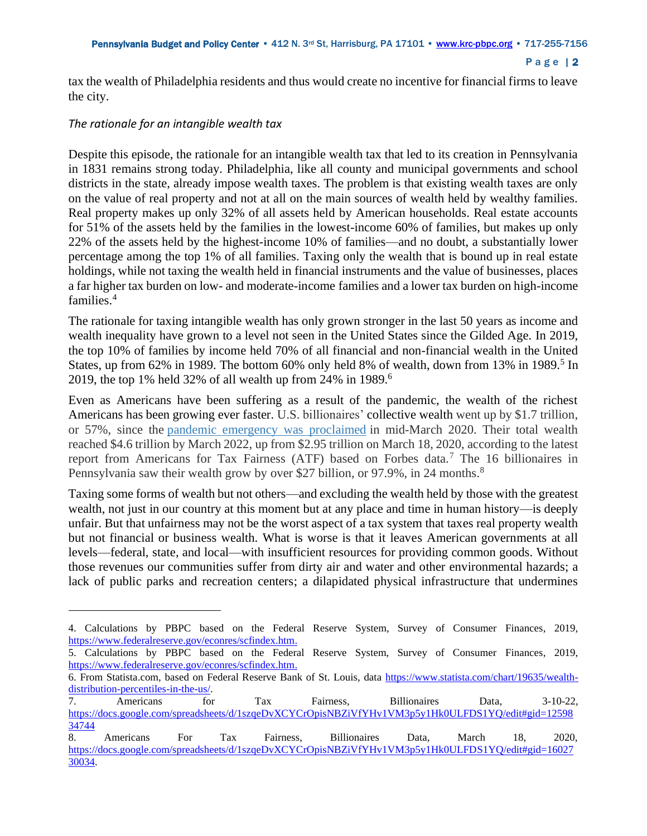#### Page | 2

tax the wealth of Philadelphia residents and thus would create no incentive for financial firms to leave the city.

## *The rationale for an intangible wealth tax*

Despite this episode, the rationale for an intangible wealth tax that led to its creation in Pennsylvania in 1831 remains strong today. Philadelphia, like all county and municipal governments and school districts in the state, already impose wealth taxes. The problem is that existing wealth taxes are only on the value of real property and not at all on the main sources of wealth held by wealthy families. Real property makes up only 32% of all assets held by American households. Real estate accounts for 51% of the assets held by the families in the lowest-income 60% of families, but makes up only 22% of the assets held by the highest-income 10% of families—and no doubt, a substantially lower percentage among the top 1% of all families. Taxing only the wealth that is bound up in real estate holdings, while not taxing the wealth held in financial instruments and the value of businesses, places a far higher tax burden on low- and moderate-income families and a lower tax burden on high-income families.<sup>4</sup>

The rationale for taxing intangible wealth has only grown stronger in the last 50 years as income and wealth inequality have grown to a level not seen in the United States since the Gilded Age. In 2019, the top 10% of families by income held 70% of all financial and non-financial wealth in the United States, up from 62% in 1989. The bottom 60% only held 8% of wealth, down from 13% in 1989.<sup>5</sup> In 2019, the top 1% held 32% of all wealth up from 24% in 1989. 6

Even as Americans have been suffering as a result of the pandemic, the wealth of the richest Americans has been growing ever faster. U.S. billionaires' collective wealth went up by \$1.7 trillion, or 57%, since the [pandemic emergency was proclaimed](https://www.fema.gov/press-release/20210318/covid-19-emergency-declaration) in mid-March 2020. Their total wealth reached \$4.6 trillion by March 2022, up from \$2.95 trillion on March 18, 2020, according to the latest report from Americans for Tax Fairness (ATF) based on Forbes data.<sup>7</sup> The 16 billionaires in Pennsylvania saw their wealth grow by over \$27 billion, or 97.9%, in 24 months.<sup>8</sup>

Taxing some forms of wealth but not others—and excluding the wealth held by those with the greatest wealth, not just in our country at this moment but at any place and time in human history—is deeply unfair. But that unfairness may not be the worst aspect of a tax system that taxes real property wealth but not financial or business wealth. What is worse is that it leaves American governments at all levels—federal, state, and local—with insufficient resources for providing common goods. Without those revenues our communities suffer from dirty air and water and other environmental hazards; a lack of public parks and recreation centers; a dilapidated physical infrastructure that undermines

<sup>4.</sup> Calculations by PBPC based on the Federal Reserve System, Survey of Consumer Finances, 2019, [https://www.federalreserve.gov/econres/scfindex.htm.](https://www.federalreserve.gov/econres/scfindex.htm)

<sup>5.</sup> Calculations by PBPC based on the Federal Reserve System, Survey of Consumer Finances, 2019, [https://www.federalreserve.gov/econres/scfindex.htm.](https://www.federalreserve.gov/econres/scfindex.htm)

<sup>6.</sup> From Statista.com, based on Federal Reserve Bank of St. Louis, data [https://www.statista.com/chart/19635/wealth](https://www.statista.com/chart/19635/wealth-distribution-percentiles-in-the-us/)[distribution-percentiles-in-the-us/.](https://www.statista.com/chart/19635/wealth-distribution-percentiles-in-the-us/)

<sup>7.</sup> Americans for Tax Fairness, Billionaires Data, 3-10-22, [https://docs.google.com/spreadsheets/d/1szqeDvXCYCrOpisNBZiVfYHv1VM3p5y1Hk0ULFDS1YQ/edit#gid=12598](https://docs.google.com/spreadsheets/d/1szqeDvXCYCrOpisNBZiVfYHv1VM3p5y1Hk0ULFDS1YQ/edit#gid=1259834744) [34744](https://docs.google.com/spreadsheets/d/1szqeDvXCYCrOpisNBZiVfYHv1VM3p5y1Hk0ULFDS1YQ/edit#gid=1259834744)

<sup>8.</sup> Americans For Tax Fairness, Billionaires Data, March 18, 2020, [https://docs.google.com/spreadsheets/d/1szqeDvXCYCrOpisNBZiVfYHv1VM3p5y1Hk0ULFDS1YQ/edit#gid=16027](https://docs.google.com/spreadsheets/d/1szqeDvXCYCrOpisNBZiVfYHv1VM3p5y1Hk0ULFDS1YQ/edit#gid=1602730034) [30034.](https://docs.google.com/spreadsheets/d/1szqeDvXCYCrOpisNBZiVfYHv1VM3p5y1Hk0ULFDS1YQ/edit#gid=1602730034)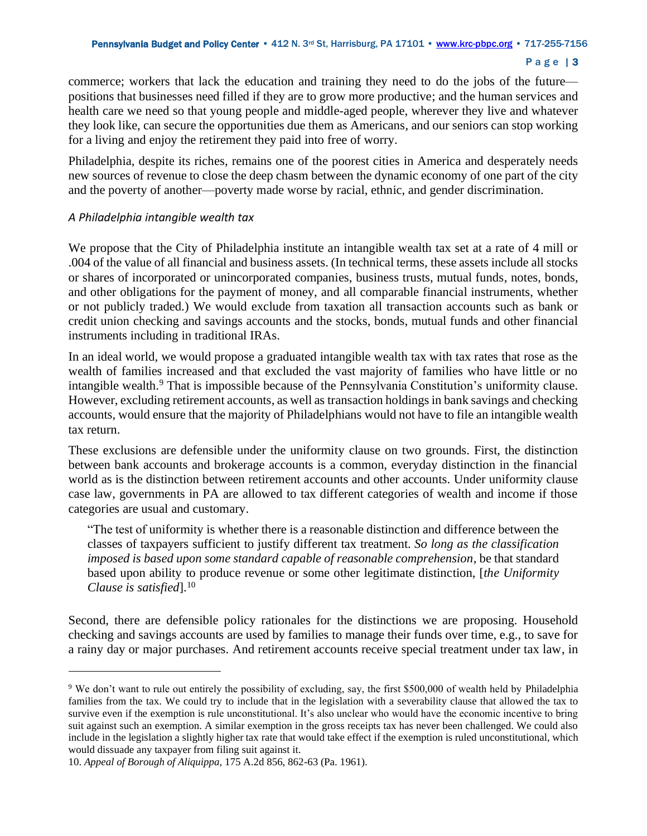#### Page | 3

commerce; workers that lack the education and training they need to do the jobs of the future positions that businesses need filled if they are to grow more productive; and the human services and health care we need so that young people and middle-aged people, wherever they live and whatever they look like, can secure the opportunities due them as Americans, and our seniors can stop working for a living and enjoy the retirement they paid into free of worry.

Philadelphia, despite its riches, remains one of the poorest cities in America and desperately needs new sources of revenue to close the deep chasm between the dynamic economy of one part of the city and the poverty of another—poverty made worse by racial, ethnic, and gender discrimination.

## *A Philadelphia intangible wealth tax*

We propose that the City of Philadelphia institute an intangible wealth tax set at a rate of 4 mill or .004 of the value of all financial and business assets. (In technical terms, these assets include all stocks or shares of incorporated or unincorporated companies, business trusts, mutual funds, notes, bonds, and other obligations for the payment of money, and all comparable financial instruments, whether or not publicly traded.) We would exclude from taxation all transaction accounts such as bank or credit union checking and savings accounts and the stocks, bonds, mutual funds and other financial instruments including in traditional IRAs.

In an ideal world, we would propose a graduated intangible wealth tax with tax rates that rose as the wealth of families increased and that excluded the vast majority of families who have little or no intangible wealth.<sup>9</sup> That is impossible because of the Pennsylvania Constitution's uniformity clause. However, excluding retirement accounts, as well as transaction holdings in bank savings and checking accounts, would ensure that the majority of Philadelphians would not have to file an intangible wealth tax return.

These exclusions are defensible under the uniformity clause on two grounds. First, the distinction between bank accounts and brokerage accounts is a common, everyday distinction in the financial world as is the distinction between retirement accounts and other accounts. Under uniformity clause case law, governments in PA are allowed to tax different categories of wealth and income if those categories are usual and customary.

"The test of uniformity is whether there is a reasonable distinction and difference between the classes of taxpayers sufficient to justify different tax treatment. *So long as the classification imposed is based upon some standard capable of reasonable comprehension*, be that standard based upon ability to produce revenue or some other legitimate distinction, [*the Uniformity Clause is satisfied*].<sup>10</sup>

Second, there are defensible policy rationales for the distinctions we are proposing. Household checking and savings accounts are used by families to manage their funds over time, e.g., to save for a rainy day or major purchases. And retirement accounts receive special treatment under tax law, in

<sup>9</sup> We don't want to rule out entirely the possibility of excluding, say, the first \$500,000 of wealth held by Philadelphia families from the tax. We could try to include that in the legislation with a severability clause that allowed the tax to survive even if the exemption is rule unconstitutional. It's also unclear who would have the economic incentive to bring suit against such an exemption. A similar exemption in the gross receipts tax has never been challenged. We could also include in the legislation a slightly higher tax rate that would take effect if the exemption is ruled unconstitutional, which would dissuade any taxpayer from filing suit against it.

<sup>10.</sup> *Appeal of Borough of Aliquippa*, 175 A.2d 856, 862-63 (Pa. 1961).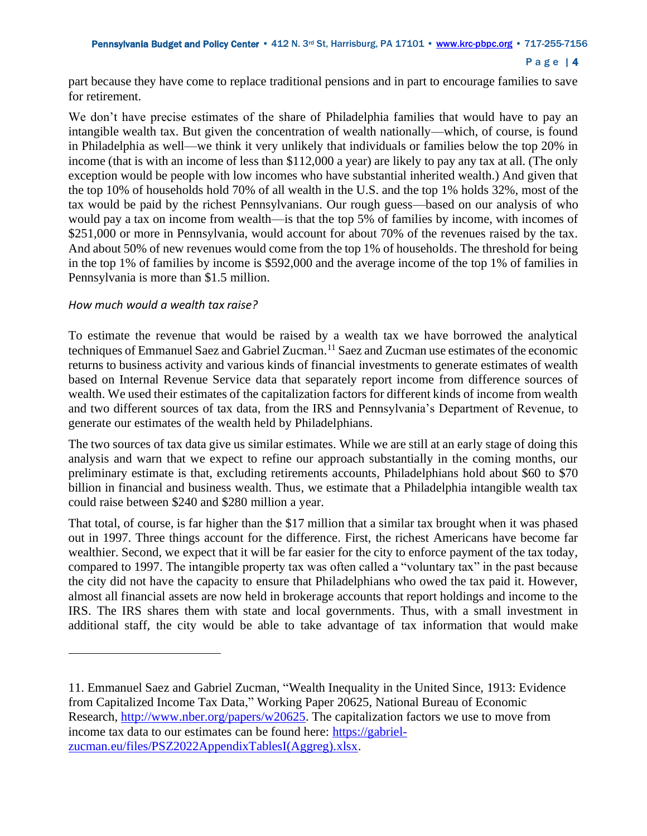```
Page | 4
```
part because they have come to replace traditional pensions and in part to encourage families to save for retirement.

We don't have precise estimates of the share of Philadelphia families that would have to pay an intangible wealth tax. But given the concentration of wealth nationally—which, of course, is found in Philadelphia as well—we think it very unlikely that individuals or families below the top 20% in income (that is with an income of less than \$112,000 a year) are likely to pay any tax at all. (The only exception would be people with low incomes who have substantial inherited wealth.) And given that the top 10% of households hold 70% of all wealth in the U.S. and the top 1% holds 32%, most of the tax would be paid by the richest Pennsylvanians. Our rough guess—based on our analysis of who would pay a tax on income from wealth—is that the top 5% of families by income, with incomes of \$251,000 or more in Pennsylvania, would account for about 70% of the revenues raised by the tax. And about 50% of new revenues would come from the top 1% of households. The threshold for being in the top 1% of families by income is \$592,000 and the average income of the top 1% of families in Pennsylvania is more than \$1.5 million.

# *How much would a wealth tax raise?*

To estimate the revenue that would be raised by a wealth tax we have borrowed the analytical techniques of Emmanuel Saez and Gabriel Zucman. <sup>11</sup> Saez and Zucman use estimates of the economic returns to business activity and various kinds of financial investments to generate estimates of wealth based on Internal Revenue Service data that separately report income from difference sources of wealth. We used their estimates of the capitalization factors for different kinds of income from wealth and two different sources of tax data, from the IRS and Pennsylvania's Department of Revenue, to generate our estimates of the wealth held by Philadelphians.

The two sources of tax data give us similar estimates. While we are still at an early stage of doing this analysis and warn that we expect to refine our approach substantially in the coming months, our preliminary estimate is that, excluding retirements accounts, Philadelphians hold about \$60 to \$70 billion in financial and business wealth. Thus, we estimate that a Philadelphia intangible wealth tax could raise between \$240 and \$280 million a year.

That total, of course, is far higher than the \$17 million that a similar tax brought when it was phased out in 1997. Three things account for the difference. First, the richest Americans have become far wealthier. Second, we expect that it will be far easier for the city to enforce payment of the tax today, compared to 1997. The intangible property tax was often called a "voluntary tax" in the past because the city did not have the capacity to ensure that Philadelphians who owed the tax paid it. However, almost all financial assets are now held in brokerage accounts that report holdings and income to the IRS. The IRS shares them with state and local governments. Thus, with a small investment in additional staff, the city would be able to take advantage of tax information that would make

<sup>11.</sup> Emmanuel Saez and Gabriel Zucman, "Wealth Inequality in the United Since, 1913: Evidence from Capitalized Income Tax Data," Working Paper 20625, National Bureau of Economic Research, [http://www.nber.org/papers/w20625.](http://www.nber.org/papers/w20625) The capitalization factors we use to move from income tax data to our estimates can be found here: [https://gabriel](https://gabriel-zucman.eu/files/PSZ2022AppendixTablesI(Aggreg).xlsx)[zucman.eu/files/PSZ2022AppendixTablesI\(Aggreg\).xlsx.](https://gabriel-zucman.eu/files/PSZ2022AppendixTablesI(Aggreg).xlsx)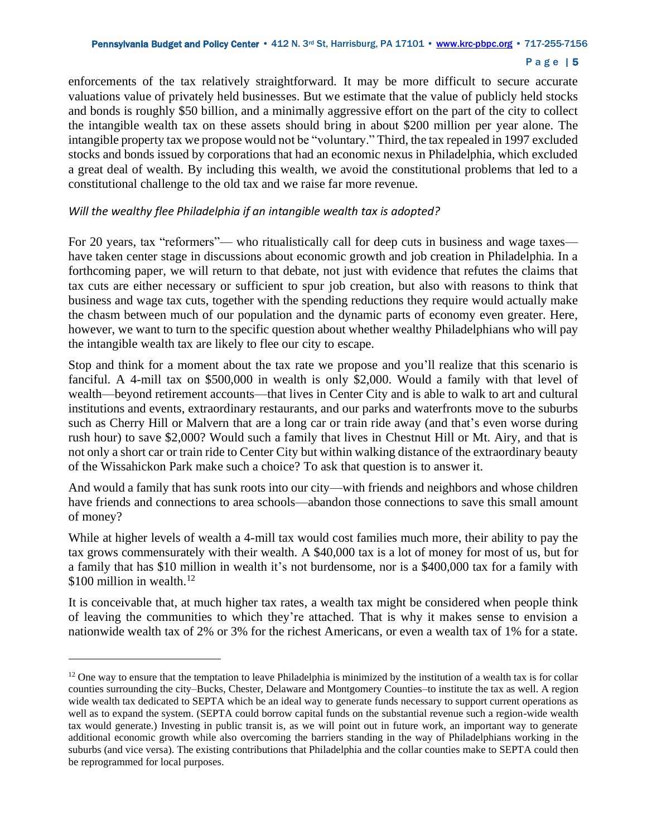#### P a g e | 5

enforcements of the tax relatively straightforward. It may be more difficult to secure accurate valuations value of privately held businesses. But we estimate that the value of publicly held stocks and bonds is roughly \$50 billion, and a minimally aggressive effort on the part of the city to collect the intangible wealth tax on these assets should bring in about \$200 million per year alone. The intangible property tax we propose would not be "voluntary." Third, the tax repealed in 1997 excluded stocks and bonds issued by corporations that had an economic nexus in Philadelphia, which excluded a great deal of wealth. By including this wealth, we avoid the constitutional problems that led to a constitutional challenge to the old tax and we raise far more revenue.

## *Will the wealthy flee Philadelphia if an intangible wealth tax is adopted?*

For 20 years, tax "reformers"— who ritualistically call for deep cuts in business and wage taxes have taken center stage in discussions about economic growth and job creation in Philadelphia. In a forthcoming paper, we will return to that debate, not just with evidence that refutes the claims that tax cuts are either necessary or sufficient to spur job creation, but also with reasons to think that business and wage tax cuts, together with the spending reductions they require would actually make the chasm between much of our population and the dynamic parts of economy even greater. Here, however, we want to turn to the specific question about whether wealthy Philadelphians who will pay the intangible wealth tax are likely to flee our city to escape.

Stop and think for a moment about the tax rate we propose and you'll realize that this scenario is fanciful. A 4-mill tax on \$500,000 in wealth is only \$2,000. Would a family with that level of wealth—beyond retirement accounts—that lives in Center City and is able to walk to art and cultural institutions and events, extraordinary restaurants, and our parks and waterfronts move to the suburbs such as Cherry Hill or Malvern that are a long car or train ride away (and that's even worse during rush hour) to save \$2,000? Would such a family that lives in Chestnut Hill or Mt. Airy, and that is not only a short car or train ride to Center City but within walking distance of the extraordinary beauty of the Wissahickon Park make such a choice? To ask that question is to answer it.

And would a family that has sunk roots into our city—with friends and neighbors and whose children have friends and connections to area schools—abandon those connections to save this small amount of money?

While at higher levels of wealth a 4-mill tax would cost families much more, their ability to pay the tax grows commensurately with their wealth. A \$40,000 tax is a lot of money for most of us, but for a family that has \$10 million in wealth it's not burdensome, nor is a \$400,000 tax for a family with \$100 million in wealth.<sup>12</sup>

It is conceivable that, at much higher tax rates, a wealth tax might be considered when people think of leaving the communities to which they're attached. That is why it makes sense to envision a nationwide wealth tax of 2% or 3% for the richest Americans, or even a wealth tax of 1% for a state.

 $12$  One way to ensure that the temptation to leave Philadelphia is minimized by the institution of a wealth tax is for collar counties surrounding the city–Bucks, Chester, Delaware and Montgomery Counties–to institute the tax as well. A region wide wealth tax dedicated to SEPTA which be an ideal way to generate funds necessary to support current operations as well as to expand the system. (SEPTA could borrow capital funds on the substantial revenue such a region-wide wealth tax would generate.) Investing in public transit is, as we will point out in future work, an important way to generate additional economic growth while also overcoming the barriers standing in the way of Philadelphians working in the suburbs (and vice versa). The existing contributions that Philadelphia and the collar counties make to SEPTA could then be reprogrammed for local purposes.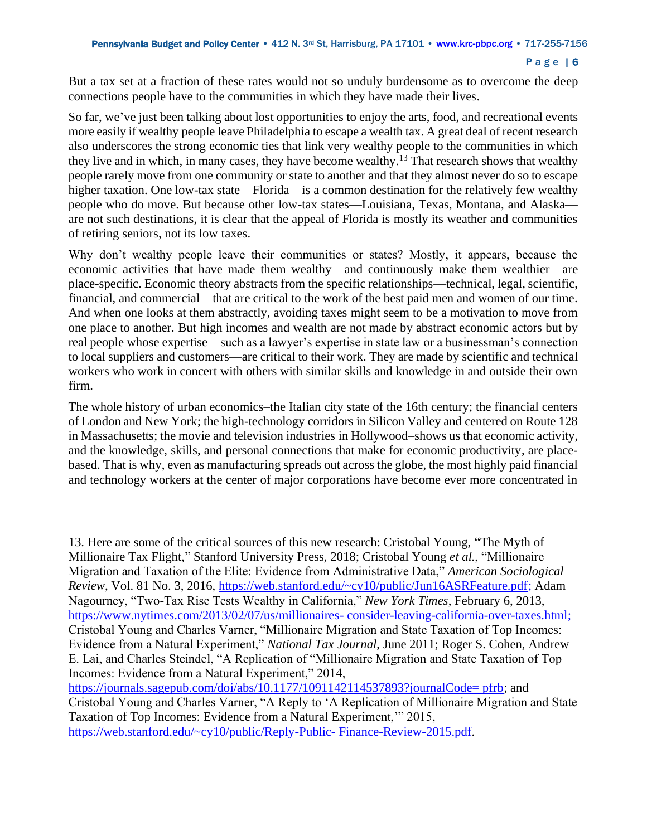But a tax set at a fraction of these rates would not so unduly burdensome as to overcome the deep connections people have to the communities in which they have made their lives.

So far, we've just been talking about lost opportunities to enjoy the arts, food, and recreational events more easily if wealthy people leave Philadelphia to escape a wealth tax. A great deal of recent research also underscores the strong economic ties that link very wealthy people to the communities in which they live and in which, in many cases, they have become wealthy.<sup>13</sup> That research shows that wealthy people rarely move from one community or state to another and that they almost never do so to escape higher taxation. One low-tax state—Florida—is a common destination for the relatively few wealthy people who do move. But because other low-tax states—Louisiana, Texas, Montana, and Alaska are not such destinations, it is clear that the appeal of Florida is mostly its weather and communities of retiring seniors, not its low taxes.

Why don't wealthy people leave their communities or states? Mostly, it appears, because the economic activities that have made them wealthy—and continuously make them wealthier—are place-specific. Economic theory abstracts from the specific relationships—technical, legal, scientific, financial, and commercial—that are critical to the work of the best paid men and women of our time. And when one looks at them abstractly, avoiding taxes might seem to be a motivation to move from one place to another. But high incomes and wealth are not made by abstract economic actors but by real people whose expertise—such as a lawyer's expertise in state law or a businessman's connection to local suppliers and customers—are critical to their work. They are made by scientific and technical workers who work in concert with others with similar skills and knowledge in and outside their own firm.

The whole history of urban economics–the Italian city state of the 16th century; the financial centers of London and New York; the high-technology corridors in Silicon Valley and centered on Route 128 in Massachusetts; the movie and television industries in Hollywood–shows us that economic activity, and the knowledge, skills, and personal connections that make for economic productivity, are placebased. That is why, even as manufacturing spreads out across the globe, the most highly paid financial and technology workers at the center of major corporations have become ever more concentrated in

[https://journals.sagepub.com/doi/abs/10.1177/1091142114537893?journalCode= pfrb;](https://journals.sagepub.com/doi/abs/10.1177/1091142114537893?journalCode=%20pfrb) and Cristobal Young and Charles Varner, "A Reply to 'A Replication of Millionaire Migration and State Taxation of Top Incomes: Evidence from a Natural Experiment,'" 2015, [https://web.stanford.edu/~cy10/public/Reply-Public-](Cristobal%20Young%20et%20al.,%20) Finance-Review-2015.pdf.

<sup>13.</sup> Here are some of the critical sources of this new research: Cristobal Young, "The Myth of Millionaire Tax Flight," Stanford University Press, 2018; Cristobal Young *et al.*, "Millionaire Migration and Taxation of the Elite: Evidence from Administrative Data," *American Sociological Review*, Vol. 81 No. 3, 2016, [https://web.stanford.edu/~cy10/public/Jun16ASRFeature.pdf;](https://web.stanford.edu/~cy10/public/Jun16ASRFeature.pdf) Adam Nagourney, "Two-Tax Rise Tests Wealthy in California," *New York Times*, February 6, 2013, https://www.nytimes.com/2013/02/07/us/millionaires- consider-leaving-california-over-taxes.html; Cristobal Young and Charles Varner, "Millionaire Migration and State Taxation of Top Incomes: Evidence from a Natural Experiment," *National Tax Journal*, June 2011; Roger S. Cohen, Andrew E. Lai, and Charles Steindel, "A Replication of "Millionaire Migration and State Taxation of Top Incomes: Evidence from a Natural Experiment," 2014,